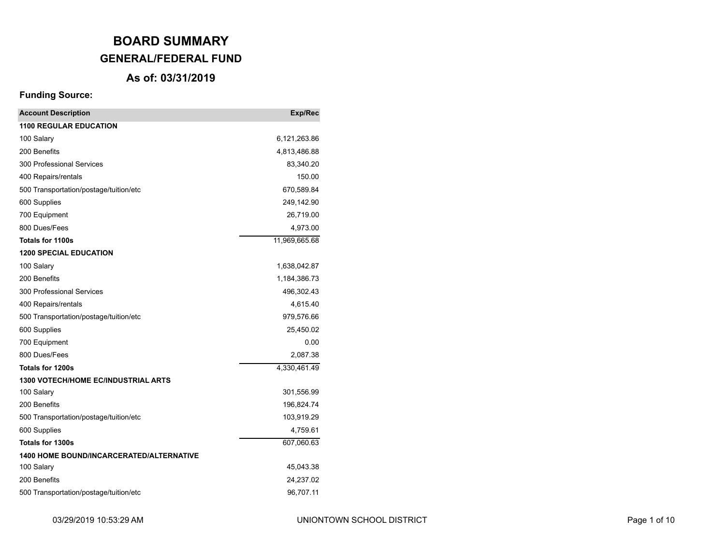## **As of: 03/31/2019**

| <b>Account Description</b>                      | Exp/Rec       |
|-------------------------------------------------|---------------|
| <b>1100 REGULAR EDUCATION</b>                   |               |
| 100 Salary                                      | 6,121,263.86  |
| 200 Benefits                                    | 4,813,486.88  |
| 300 Professional Services                       | 83,340.20     |
| 400 Repairs/rentals                             | 150.00        |
| 500 Transportation/postage/tuition/etc          | 670,589.84    |
| 600 Supplies                                    | 249,142.90    |
| 700 Equipment                                   | 26,719.00     |
| 800 Dues/Fees                                   | 4,973.00      |
| <b>Totals for 1100s</b>                         | 11,969,665.68 |
| <b>1200 SPECIAL EDUCATION</b>                   |               |
| 100 Salary                                      | 1,638,042.87  |
| 200 Benefits                                    | 1,184,386.73  |
| 300 Professional Services                       | 496,302.43    |
| 400 Repairs/rentals                             | 4,615.40      |
| 500 Transportation/postage/tuition/etc          | 979,576.66    |
| 600 Supplies                                    | 25,450.02     |
| 700 Equipment                                   | 0.00          |
| 800 Dues/Fees                                   | 2,087.38      |
| Totals for 1200s                                | 4,330,461.49  |
| <b>1300 VOTECH/HOME EC/INDUSTRIAL ARTS</b>      |               |
| 100 Salary                                      | 301,556.99    |
| 200 Benefits                                    | 196,824.74    |
| 500 Transportation/postage/tuition/etc          | 103,919.29    |
| 600 Supplies                                    | 4,759.61      |
| Totals for 1300s                                | 607,060.63    |
| <b>1400 HOME BOUND/INCARCERATED/ALTERNATIVE</b> |               |
| 100 Salary                                      | 45,043.38     |
| 200 Benefits                                    | 24,237.02     |
| 500 Transportation/postage/tuition/etc          | 96,707.11     |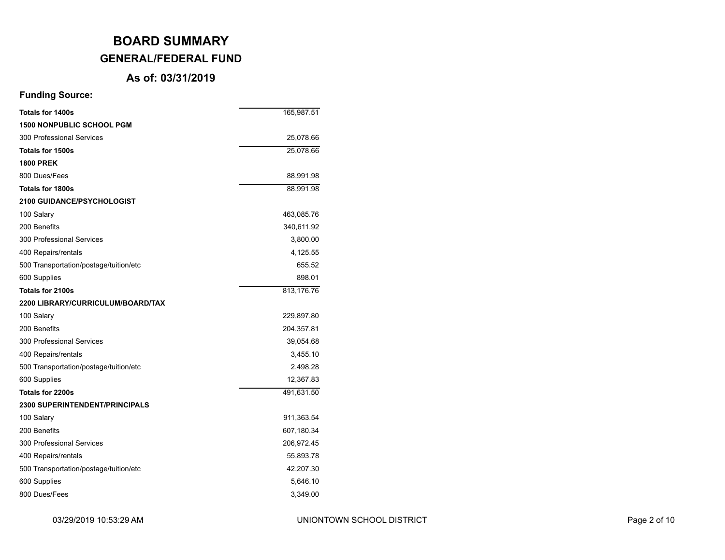### **As of: 03/31/2019**

| <b>Totals for 1400s</b>                | 165,987.51 |
|----------------------------------------|------------|
| <b>1500 NONPUBLIC SCHOOL PGM</b>       |            |
| 300 Professional Services              | 25,078.66  |
| Totals for 1500s                       | 25,078.66  |
| <b>1800 PREK</b>                       |            |
| 800 Dues/Fees                          | 88,991.98  |
| Totals for 1800s                       | 88,991.98  |
| <b>2100 GUIDANCE/PSYCHOLOGIST</b>      |            |
| 100 Salary                             | 463,085.76 |
| 200 Benefits                           | 340,611.92 |
| 300 Professional Services              | 3,800.00   |
| 400 Repairs/rentals                    | 4,125.55   |
| 500 Transportation/postage/tuition/etc | 655.52     |
| 600 Supplies                           | 898.01     |
| Totals for 2100s                       | 813,176.76 |
| 2200 LIBRARY/CURRICULUM/BOARD/TAX      |            |
| 100 Salary                             | 229,897.80 |
| 200 Benefits                           | 204,357.81 |
| 300 Professional Services              | 39,054.68  |
| 400 Repairs/rentals                    | 3,455.10   |
| 500 Transportation/postage/tuition/etc | 2,498.28   |
| 600 Supplies                           | 12,367.83  |
| Totals for 2200s                       | 491,631.50 |
| <b>2300 SUPERINTENDENT/PRINCIPALS</b>  |            |
| 100 Salary                             | 911,363.54 |
| 200 Benefits                           | 607,180.34 |
| 300 Professional Services              | 206,972.45 |
| 400 Repairs/rentals                    | 55,893.78  |
| 500 Transportation/postage/tuition/etc | 42,207.30  |
| 600 Supplies                           | 5,646.10   |
| 800 Dues/Fees                          | 3,349.00   |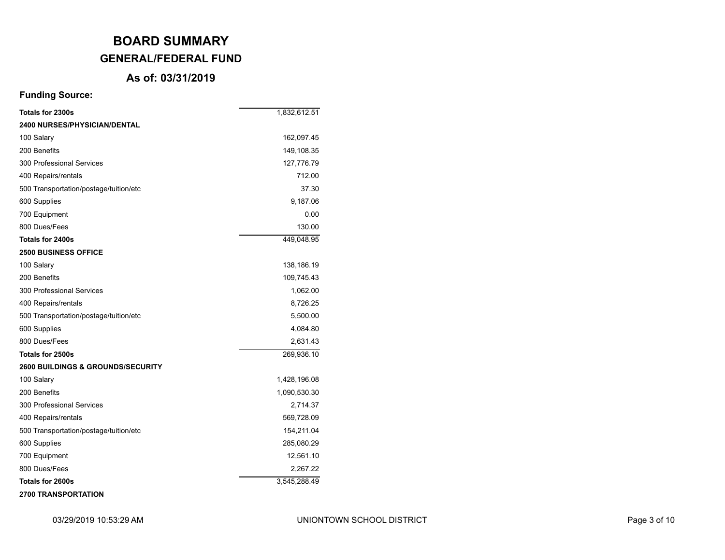### **As of: 03/31/2019**

| Totals for 2300s                       | 1,832,612.51 |
|----------------------------------------|--------------|
| <b>2400 NURSES/PHYSICIAN/DENTAL</b>    |              |
| 100 Salary                             | 162,097.45   |
| 200 Benefits                           | 149,108.35   |
| 300 Professional Services              | 127,776.79   |
| 400 Repairs/rentals                    | 712.00       |
| 500 Transportation/postage/tuition/etc | 37.30        |
| 600 Supplies                           | 9,187.06     |
| 700 Equipment                          | 0.00         |
| 800 Dues/Fees                          | 130.00       |
| Totals for 2400s                       | 449,048.95   |
| <b>2500 BUSINESS OFFICE</b>            |              |
| 100 Salary                             | 138,186.19   |
| 200 Benefits                           | 109,745.43   |
| 300 Professional Services              | 1,062.00     |
| 400 Repairs/rentals                    | 8,726.25     |
| 500 Transportation/postage/tuition/etc | 5,500.00     |
| 600 Supplies                           | 4,084.80     |
| 800 Dues/Fees                          | 2,631.43     |
| Totals for 2500s                       | 269,936.10   |
| 2600 BUILDINGS & GROUNDS/SECURITY      |              |
| 100 Salary                             | 1,428,196.08 |
| 200 Benefits                           | 1,090,530.30 |
| 300 Professional Services              | 2,714.37     |
| 400 Repairs/rentals                    | 569,728.09   |
| 500 Transportation/postage/tuition/etc | 154,211.04   |
| 600 Supplies                           | 285,080.29   |
| 700 Equipment                          | 12,561.10    |
| 800 Dues/Fees                          | 2,267.22     |
| Totals for 2600s                       | 3,545,288.49 |
| <b>2700 TRANSPORTATION</b>             |              |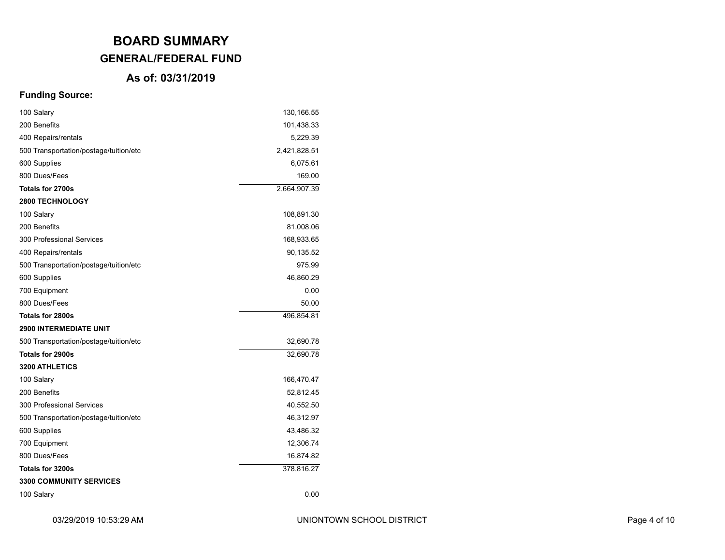## **As of: 03/31/2019**

| 100 Salary                             | 130,166.55   |
|----------------------------------------|--------------|
| 200 Benefits                           | 101,438.33   |
| 400 Repairs/rentals                    | 5,229.39     |
| 500 Transportation/postage/tuition/etc | 2,421,828.51 |
| 600 Supplies                           | 6,075.61     |
| 800 Dues/Fees                          | 169.00       |
| Totals for 2700s                       | 2,664,907.39 |
| <b>2800 TECHNOLOGY</b>                 |              |
| 100 Salary                             | 108,891.30   |
| 200 Benefits                           | 81,008.06    |
| 300 Professional Services              | 168,933.65   |
| 400 Repairs/rentals                    | 90,135.52    |
| 500 Transportation/postage/tuition/etc | 975.99       |
| 600 Supplies                           | 46,860.29    |
| 700 Equipment                          | 0.00         |
| 800 Dues/Fees                          | 50.00        |
| Totals for 2800s                       | 496,854.81   |
| <b>2900 INTERMEDIATE UNIT</b>          |              |
| 500 Transportation/postage/tuition/etc | 32,690.78    |
| Totals for 2900s                       | 32,690.78    |
| 3200 ATHLETICS                         |              |
| 100 Salary                             | 166,470.47   |
| 200 Benefits                           | 52,812.45    |
| 300 Professional Services              | 40,552.50    |
| 500 Transportation/postage/tuition/etc | 46,312.97    |
| 600 Supplies                           | 43,486.32    |
| 700 Equipment                          | 12,306.74    |
| 800 Dues/Fees                          | 16,874.82    |
| Totals for 3200s                       | 378,816.27   |
| <b>3300 COMMUNITY SERVICES</b>         |              |
| 100 Salary                             | 0.00         |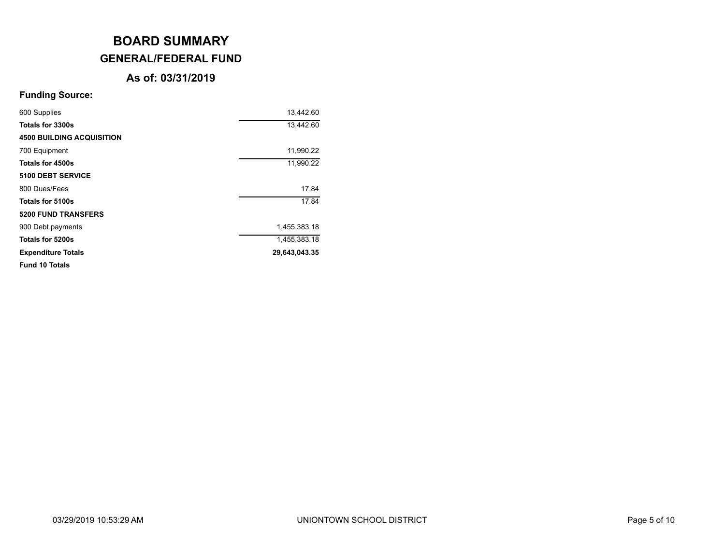### **As of: 03/31/2019**

| 600 Supplies                     | 13,442.60     |
|----------------------------------|---------------|
| Totals for 3300s                 | 13,442.60     |
| <b>4500 BUILDING ACQUISITION</b> |               |
| 700 Equipment                    | 11,990.22     |
| Totals for 4500s                 | 11,990.22     |
| 5100 DEBT SERVICE                |               |
| 800 Dues/Fees                    | 17.84         |
| Totals for 5100s                 | 17.84         |
| <b>5200 FUND TRANSFERS</b>       |               |
| 900 Debt payments                | 1,455,383.18  |
| Totals for 5200s                 | 1,455,383.18  |
| <b>Expenditure Totals</b>        | 29,643,043.35 |
| <b>Fund 10 Totals</b>            |               |